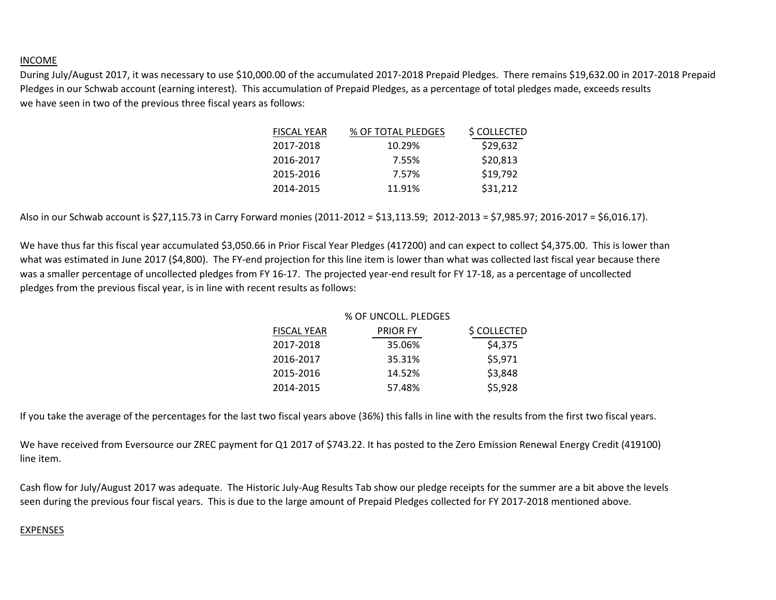## INCOME

During July/August 2017, it was necessary to use \$10,000.00 of the accumulated 2017-2018 Prepaid Pledges. There remains \$19,632.00 in 2017-2018 Prepaid Pledges in our Schwab account (earning interest). This accumulation of Prepaid Pledges, as a percentage of total pledges made, exceeds results we have seen in two of the previous three fiscal years as follows:

| <b>FISCAL YEAR</b> | % OF TOTAL PLEDGES | \$ COLLECTED |
|--------------------|--------------------|--------------|
| 2017-2018          | 10.29%             | \$29,632     |
| 2016-2017          | 7.55%              | \$20,813     |
| 2015-2016          | 7.57%              | \$19,792     |
| 2014-2015          | 11.91%             | \$31,212     |
|                    |                    |              |

Also in our Schwab account is \$27,115.73 in Carry Forward monies (2011-2012 = \$13,113.59; 2012-2013 = \$7,985.97; 2016-2017 = \$6,016.17).

We have thus far this fiscal year accumulated \$3,050.66 in Prior Fiscal Year Pledges (417200) and can expect to collect \$4,375.00. This is lower than what was estimated in June 2017 (\$4,800). The FY-end projection for this line item is lower than what was collected last fiscal year because there was a smaller percentage of uncollected pledges from FY 16-17. The projected year-end result for FY 17-18, as a percentage of uncollected pledges from the previous fiscal year, is in line with recent results as follows:

| % OF UNCOLL. PLEDGES |              |
|----------------------|--------------|
| <b>PRIOR FY</b>      | \$ COLLECTED |
| 35.06%               | \$4,375      |
| 35.31%               | \$5,971      |
| 14.52%               | \$3,848      |
| 57.48%               | \$5,928      |
|                      |              |

If you take the average of the percentages for the last two fiscal years above (36%) this falls in line with the results from the first two fiscal years.

We have received from Eversource our ZREC payment for Q1 2017 of \$743.22. It has posted to the Zero Emission Renewal Energy Credit (419100) line item.

Cash flow for July/August 2017 was adequate. The Historic July-Aug Results Tab show our pledge receipts for the summer are a bit above the levels seen during the previous four fiscal years. This is due to the large amount of Prepaid Pledges collected for FY 2017-2018 mentioned above.

## EXPENSES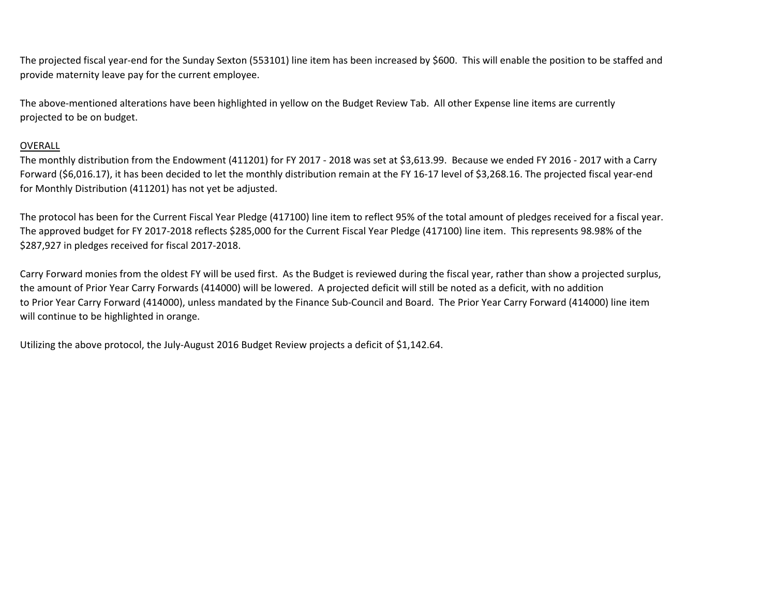The projected fiscal year-end for the Sunday Sexton (553101) line item has been increased by \$600. This will enable the position to be staffed and provide maternity leave pay for the current employee.

The above-mentioned alterations have been highlighted in yellow on the Budget Review Tab. All other Expense line items are currently projected to be on budget.

## OVERALL

The monthly distribution from the Endowment (411201) for FY 2017 - 2018 was set at \$3,613.99. Because we ended FY 2016 - 2017 with a Carry Forward (\$6,016.17), it has been decided to let the monthly distribution remain at the FY 16-17 level of \$3,268.16. The projected fiscal year-end for Monthly Distribution (411201) has not yet be adjusted.

The protocol has been for the Current Fiscal Year Pledge (417100) line item to reflect 95% of the total amount of pledges received for a fiscal year. The approved budget for FY 2017-2018 reflects \$285,000 for the Current Fiscal Year Pledge (417100) line item. This represents 98.98% of the \$287,927 in pledges received for fiscal 2017-2018.

Carry Forward monies from the oldest FY will be used first. As the Budget is reviewed during the fiscal year, rather than show a projected surplus, the amount of Prior Year Carry Forwards (414000) will be lowered. A projected deficit will still be noted as a deficit, with no addition to Prior Year Carry Forward (414000), unless mandated by the Finance Sub-Council and Board. The Prior Year Carry Forward (414000) line item will continue to be highlighted in orange.

Utilizing the above protocol, the July-August 2016 Budget Review projects a deficit of \$1,142.64.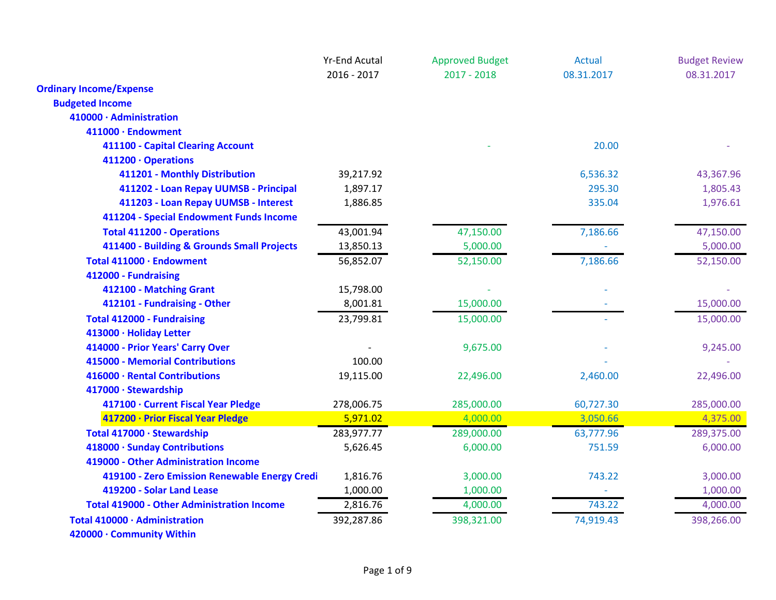|                                                   | <b>Yr-End Acutal</b> | <b>Approved Budget</b> | <b>Actual</b> | <b>Budget Review</b> |
|---------------------------------------------------|----------------------|------------------------|---------------|----------------------|
|                                                   | 2016 - 2017          | $2017 - 2018$          | 08.31.2017    | 08.31.2017           |
| <b>Ordinary Income/Expense</b>                    |                      |                        |               |                      |
| <b>Budgeted Income</b>                            |                      |                        |               |                      |
| 410000 · Administration                           |                      |                        |               |                      |
| 411000 · Endowment                                |                      |                        |               |                      |
| 411100 - Capital Clearing Account                 |                      |                        | 20.00         |                      |
| 411200 · Operations                               |                      |                        |               |                      |
| 411201 - Monthly Distribution                     | 39,217.92            |                        | 6,536.32      | 43,367.96            |
| 411202 - Loan Repay UUMSB - Principal             | 1,897.17             |                        | 295.30        | 1,805.43             |
| 411203 - Loan Repay UUMSB - Interest              | 1,886.85             |                        | 335.04        | 1,976.61             |
| 411204 - Special Endowment Funds Income           |                      |                        |               |                      |
| <b>Total 411200 - Operations</b>                  | 43,001.94            | 47,150.00              | 7,186.66      | 47,150.00            |
| 411400 - Building & Grounds Small Projects        | 13,850.13            | 5,000.00               |               | 5,000.00             |
| Total 411000 · Endowment                          | 56,852.07            | 52,150.00              | 7,186.66      | 52,150.00            |
| 412000 - Fundraising                              |                      |                        |               |                      |
| 412100 - Matching Grant                           | 15,798.00            |                        |               |                      |
| 412101 - Fundraising - Other                      | 8,001.81             | 15,000.00              |               | 15,000.00            |
| <b>Total 412000 - Fundraising</b>                 | 23,799.81            | 15,000.00              |               | 15,000.00            |
| 413000 · Holiday Letter                           |                      |                        |               |                      |
| 414000 - Prior Years' Carry Over                  |                      | 9,675.00               |               | 9,245.00             |
| 415000 - Memorial Contributions                   | 100.00               |                        |               |                      |
| 416000 · Rental Contributions                     | 19,115.00            | 22,496.00              | 2,460.00      | 22,496.00            |
| 417000 · Stewardship                              |                      |                        |               |                      |
| 417100 · Current Fiscal Year Pledge               | 278,006.75           | 285,000.00             | 60,727.30     | 285,000.00           |
| 417200 · Prior Fiscal Year Pledge                 | 5,971.02             | 4,000.00               | 3,050.66      | 4,375.00             |
| Total 417000 · Stewardship                        | 283,977.77           | 289,000.00             | 63,777.96     | 289,375.00           |
| 418000 · Sunday Contributions                     | 5,626.45             | 6,000.00               | 751.59        | 6,000.00             |
| 419000 - Other Administration Income              |                      |                        |               |                      |
| 419100 - Zero Emission Renewable Energy Credi     | 1,816.76             | 3,000.00               | 743.22        | 3,000.00             |
| 419200 - Solar Land Lease                         | 1,000.00             | 1,000.00               |               | 1,000.00             |
| <b>Total 419000 - Other Administration Income</b> | 2,816.76             | 4,000.00               | 743.22        | 4,000.00             |
| Total 410000 · Administration                     | 392,287.86           | 398,321.00             | 74,919.43     | 398,266.00           |
| 420000 · Community Within                         |                      |                        |               |                      |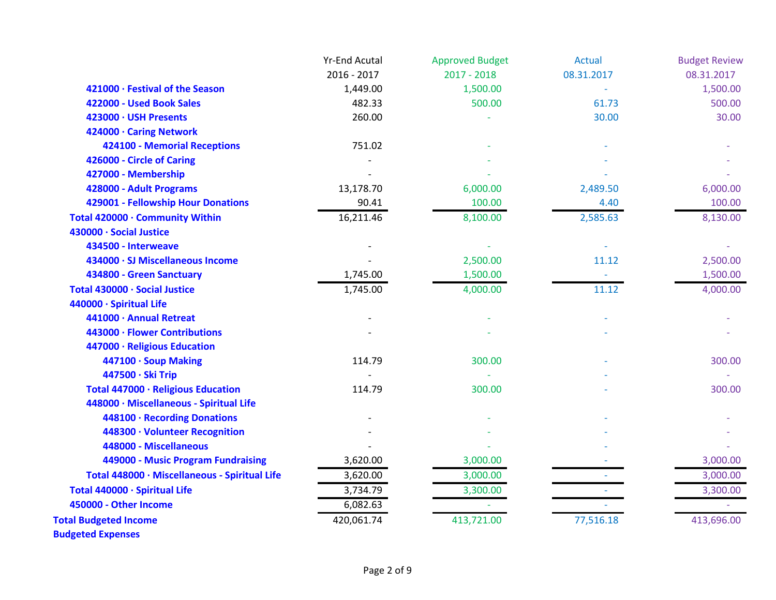|                                               | <b>Yr-End Acutal</b> | <b>Approved Budget</b> | <b>Actual</b> | <b>Budget Review</b> |
|-----------------------------------------------|----------------------|------------------------|---------------|----------------------|
|                                               | 2016 - 2017          | $2017 - 2018$          | 08.31.2017    | 08.31.2017           |
| 421000 · Festival of the Season               | 1,449.00             | 1,500.00               |               | 1,500.00             |
| 422000 - Used Book Sales                      | 482.33               | 500.00                 | 61.73         | 500.00               |
| 423000 · USH Presents                         | 260.00               |                        | 30.00         | 30.00                |
| 424000 · Caring Network                       |                      |                        |               |                      |
| <b>424100 - Memorial Receptions</b>           | 751.02               |                        |               |                      |
| 426000 - Circle of Caring                     |                      |                        |               |                      |
| 427000 - Membership                           |                      |                        |               |                      |
| 428000 - Adult Programs                       | 13,178.70            | 6,000.00               | 2,489.50      | 6,000.00             |
| 429001 - Fellowship Hour Donations            | 90.41                | 100.00                 | 4.40          | 100.00               |
| Total 420000 · Community Within               | 16,211.46            | 8,100.00               | 2,585.63      | 8,130.00             |
| 430000 · Social Justice                       |                      |                        |               |                      |
| 434500 - Interweave                           |                      |                        |               |                      |
| 434000 · SJ Miscellaneous Income              |                      | 2,500.00               | 11.12         | 2,500.00             |
| 434800 - Green Sanctuary                      | 1,745.00             | 1,500.00               |               | 1,500.00             |
| Total 430000 · Social Justice                 | 1,745.00             | 4,000.00               | 11.12         | 4,000.00             |
| 440000 · Spiritual Life                       |                      |                        |               |                      |
| 441000 · Annual Retreat                       |                      |                        |               |                      |
| 443000 · Flower Contributions                 |                      |                        |               |                      |
| 447000 · Religious Education                  |                      |                        |               |                      |
| 447100 · Soup Making                          | 114.79               | 300.00                 |               | 300.00               |
| 447500 · Ski Trip                             |                      |                        |               |                      |
| Total 447000 · Religious Education            | 114.79               | 300.00                 |               | 300.00               |
| 448000 · Miscellaneous - Spiritual Life       |                      |                        |               |                      |
| 448100 · Recording Donations                  |                      |                        |               |                      |
| 448300 · Volunteer Recognition                |                      |                        |               |                      |
| 448000 - Miscellaneous                        |                      |                        |               |                      |
| 449000 - Music Program Fundraising            | 3,620.00             | 3,000.00               |               | 3,000.00             |
| Total 448000 · Miscellaneous - Spiritual Life | 3,620.00             | 3,000.00               |               | 3,000.00             |
| Total 440000 · Spiritual Life                 | 3,734.79             | 3,300.00               |               | 3,300.00             |
| 450000 - Other Income                         | 6,082.63             |                        |               |                      |
| <b>Total Budgeted Income</b>                  | 420,061.74           | 413,721.00             | 77,516.18     | 413,696.00           |
| <b>Budgeted Expenses</b>                      |                      |                        |               |                      |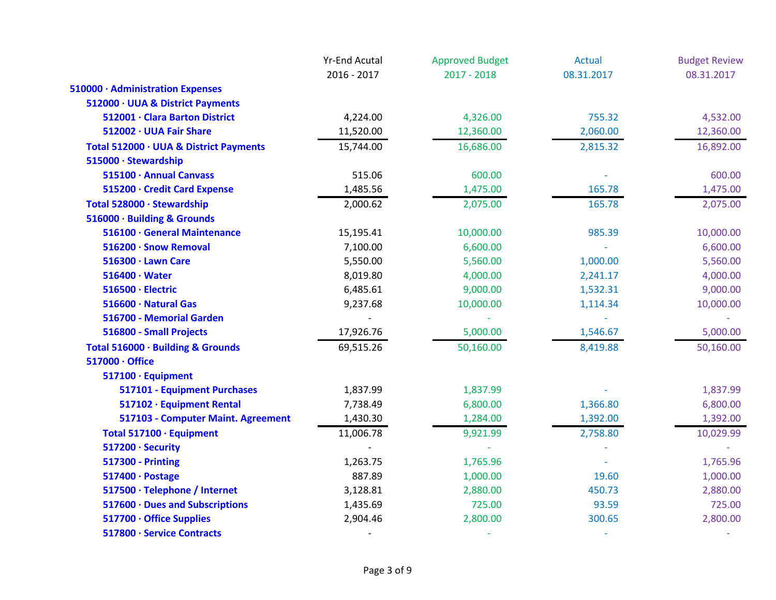|                                        | <b>Yr-End Acutal</b> | <b>Approved Budget</b> | Actual     | <b>Budget Review</b> |
|----------------------------------------|----------------------|------------------------|------------|----------------------|
|                                        | 2016 - 2017          | $2017 - 2018$          | 08.31.2017 | 08.31.2017           |
| 510000 · Administration Expenses       |                      |                        |            |                      |
| 512000 · UUA & District Payments       |                      |                        |            |                      |
| 512001 · Clara Barton District         | 4,224.00             | 4,326.00               | 755.32     | 4,532.00             |
| 512002 · UUA Fair Share                | 11,520.00            | 12,360.00              | 2,060.00   | 12,360.00            |
| Total 512000 · UUA & District Payments | 15,744.00            | 16,686.00              | 2,815.32   | 16,892.00            |
| 515000 · Stewardship                   |                      |                        |            |                      |
| 515100 · Annual Canvass                | 515.06               | 600.00                 |            | 600.00               |
| 515200 · Credit Card Expense           | 1,485.56             | 1,475.00               | 165.78     | 1,475.00             |
| Total 528000 · Stewardship             | 2,000.62             | 2,075.00               | 165.78     | 2,075.00             |
| 516000 · Building & Grounds            |                      |                        |            |                      |
| 516100 · General Maintenance           | 15,195.41            | 10,000.00              | 985.39     | 10,000.00            |
| 516200 · Snow Removal                  | 7,100.00             | 6,600.00               |            | 6,600.00             |
| 516300 · Lawn Care                     | 5,550.00             | 5,560.00               | 1,000.00   | 5,560.00             |
| $516400 \cdot Water$                   | 8,019.80             | 4,000.00               | 2,241.17   | 4,000.00             |
| 516500 · Electric                      | 6,485.61             | 9,000.00               | 1,532.31   | 9,000.00             |
| 516600 · Natural Gas                   | 9,237.68             | 10,000.00              | 1,114.34   | 10,000.00            |
| 516700 - Memorial Garden               |                      | $\omega$               |            |                      |
| 516800 - Small Projects                | 17,926.76            | 5,000.00               | 1,546.67   | 5,000.00             |
| Total 516000 · Building & Grounds      | 69,515.26            | 50,160.00              | 8,419.88   | 50,160.00            |
| 517000 · Office                        |                      |                        |            |                      |
| 517100 · Equipment                     |                      |                        |            |                      |
| 517101 - Equipment Purchases           | 1,837.99             | 1,837.99               |            | 1,837.99             |
| 517102 · Equipment Rental              | 7,738.49             | 6,800.00               | 1,366.80   | 6,800.00             |
| 517103 - Computer Maint. Agreement     | 1,430.30             | 1,284.00               | 1,392.00   | 1,392.00             |
| Total 517100 · Equipment               | 11,006.78            | 9,921.99               | 2,758.80   | 10,029.99            |
| 517200 · Security                      |                      |                        |            |                      |
| <b>517300 - Printing</b>               | 1,263.75             | 1,765.96               |            | 1,765.96             |
| 517400 · Postage                       | 887.89               | 1,000.00               | 19.60      | 1,000.00             |
| 517500 · Telephone / Internet          | 3,128.81             | 2,880.00               | 450.73     | 2,880.00             |
| 517600 · Dues and Subscriptions        | 1,435.69             | 725.00                 | 93.59      | 725.00               |
| 517700 · Office Supplies               | 2,904.46             | 2,800.00               | 300.65     | 2,800.00             |
| 517800 · Service Contracts             |                      |                        |            |                      |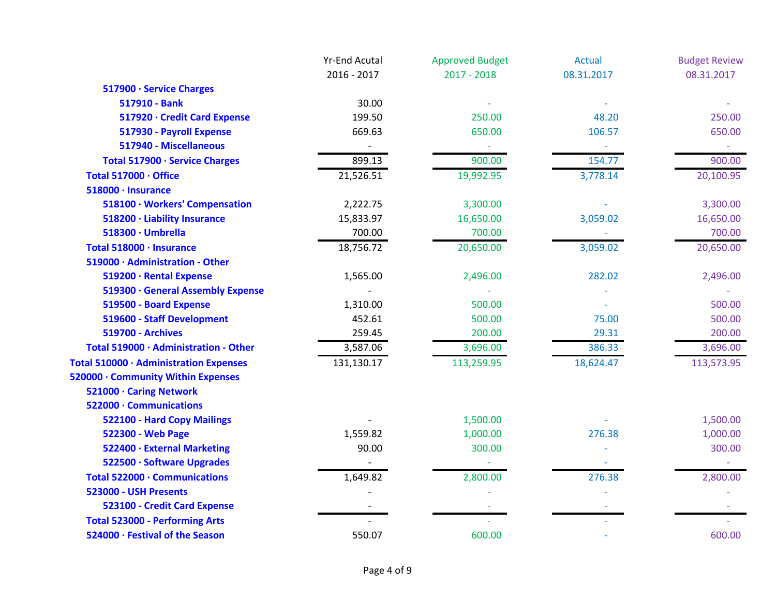|                                        | <b>Yr-End Acutal</b> | <b>Approved Budget</b> | <b>Actual</b> | <b>Budget Review</b> |
|----------------------------------------|----------------------|------------------------|---------------|----------------------|
|                                        | 2016 - 2017          | $2017 - 2018$          | 08.31.2017    | 08.31.2017           |
| 517900 · Service Charges               |                      |                        |               |                      |
| 517910 - Bank                          | 30.00                |                        |               |                      |
| 517920 · Credit Card Expense           | 199.50               | 250.00                 | 48.20         | 250.00               |
| 517930 - Payroll Expense               | 669.63               | 650.00                 | 106.57        | 650.00               |
| 517940 - Miscellaneous                 |                      |                        |               |                      |
| Total 517900 · Service Charges         | 899.13               | 900.00                 | 154.77        | 900.00               |
| Total 517000 · Office                  | 21,526.51            | 19,992.95              | 3,778.14      | 20,100.95            |
| 518000 · Insurance                     |                      |                        |               |                      |
| 518100 · Workers' Compensation         | 2,222.75             | 3,300.00               |               | 3,300.00             |
| 518200 · Liability Insurance           | 15,833.97            | 16,650.00              | 3,059.02      | 16,650.00            |
| 518300 · Umbrella                      | 700.00               | 700.00                 |               | 700.00               |
| Total 518000 · Insurance               | 18,756.72            | 20,650.00              | 3,059.02      | 20,650.00            |
| 519000 · Administration - Other        |                      |                        |               |                      |
| 519200 · Rental Expense                | 1,565.00             | 2,496.00               | 282.02        | 2,496.00             |
| 519300 · General Assembly Expense      |                      |                        |               |                      |
| 519500 - Board Expense                 | 1,310.00             | 500.00                 |               | 500.00               |
| 519600 - Staff Development             | 452.61               | 500.00                 | 75.00         | 500.00               |
| <b>519700 - Archives</b>               | 259.45               | 200.00                 | 29.31         | 200.00               |
| Total 519000 · Administration - Other  | 3,587.06             | 3,696.00               | 386.33        | 3,696.00             |
| Total 510000 · Administration Expenses | 131,130.17           | 113,259.95             | 18,624.47     | 113,573.95           |
| 520000 · Community Within Expenses     |                      |                        |               |                      |
| 521000 · Caring Network                |                      |                        |               |                      |
| 522000 · Communications                |                      |                        |               |                      |
| 522100 - Hard Copy Mailings            |                      | 1,500.00               |               | 1,500.00             |
| 522300 - Web Page                      | 1,559.82             | 1,000.00               | 276.38        | 1,000.00             |
| 522400 · External Marketing            | 90.00                | 300.00                 |               | 300.00               |
| 522500 · Software Upgrades             |                      |                        |               |                      |
| Total 522000 · Communications          | 1,649.82             | 2,800.00               | 276.38        | 2,800.00             |
| 523000 - USH Presents                  |                      |                        |               |                      |
| 523100 - Credit Card Expense           |                      |                        |               |                      |
| <b>Total 523000 - Performing Arts</b>  |                      |                        |               |                      |
| 524000 · Festival of the Season        | 550.07               | 600.00                 |               | 600.00               |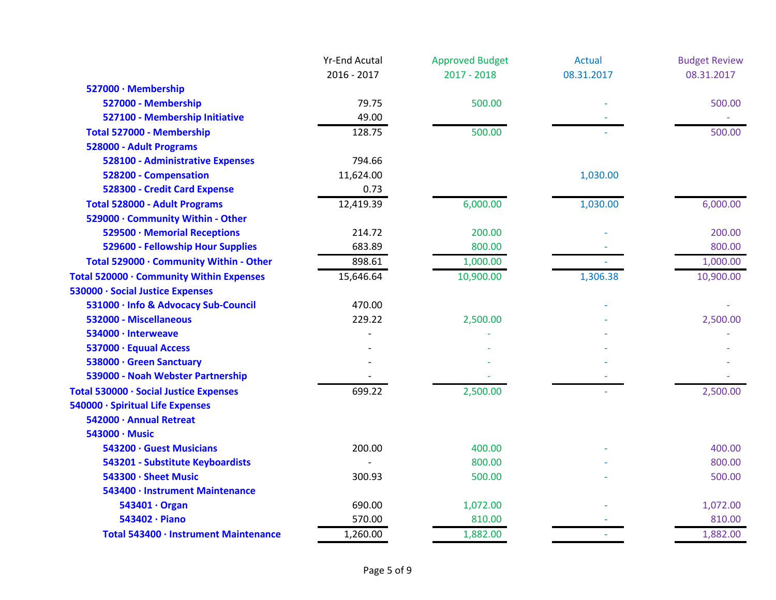|                                          | <b>Yr-End Acutal</b> | <b>Approved Budget</b> | <b>Actual</b> | <b>Budget Review</b> |
|------------------------------------------|----------------------|------------------------|---------------|----------------------|
|                                          | 2016 - 2017          | $2017 - 2018$          | 08.31.2017    | 08.31.2017           |
| 527000 · Membership                      |                      |                        |               |                      |
| 527000 - Membership                      | 79.75                | 500.00                 |               | 500.00               |
| 527100 - Membership Initiative           | 49.00                |                        |               |                      |
| Total 527000 - Membership                | 128.75               | 500.00                 |               | 500.00               |
| 528000 - Adult Programs                  |                      |                        |               |                      |
| 528100 - Administrative Expenses         | 794.66               |                        |               |                      |
| 528200 - Compensation                    | 11,624.00            |                        | 1,030.00      |                      |
| 528300 - Credit Card Expense             | 0.73                 |                        |               |                      |
| <b>Total 528000 - Adult Programs</b>     | 12,419.39            | 6,000.00               | 1,030.00      | 6,000.00             |
| 529000 · Community Within - Other        |                      |                        |               |                      |
| 529500 · Memorial Receptions             | 214.72               | 200.00                 |               | 200.00               |
| 529600 - Fellowship Hour Supplies        | 683.89               | 800.00                 |               | 800.00               |
| Total 529000 · Community Within - Other  | 898.61               | 1,000.00               |               | 1,000.00             |
| Total 520000 · Community Within Expenses | 15,646.64            | 10,900.00              | 1,306.38      | 10,900.00            |
| 530000 · Social Justice Expenses         |                      |                        |               |                      |
| 531000 · Info & Advocacy Sub-Council     | 470.00               |                        |               |                      |
| 532000 - Miscellaneous                   | 229.22               | 2,500.00               |               | 2,500.00             |
| 534000 · Interweave                      |                      |                        |               |                      |
| 537000 · Equual Access                   |                      |                        |               |                      |
| 538000 · Green Sanctuary                 |                      |                        |               |                      |
| 539000 - Noah Webster Partnership        |                      |                        |               |                      |
| Total 530000 · Social Justice Expenses   | 699.22               | 2,500.00               |               | 2,500.00             |
| 540000 · Spiritual Life Expenses         |                      |                        |               |                      |
| 542000 · Annual Retreat                  |                      |                        |               |                      |
| 543000 · Music                           |                      |                        |               |                      |
| 543200 · Guest Musicians                 | 200.00               | 400.00                 |               | 400.00               |
| 543201 - Substitute Keyboardists         |                      | 800.00                 |               | 800.00               |
| 543300 · Sheet Music                     | 300.93               | 500.00                 |               | 500.00               |
| 543400 · Instrument Maintenance          |                      |                        |               |                      |
| 543401 · Organ                           | 690.00               | 1,072.00               |               | 1,072.00             |
| 543402 · Piano                           | 570.00               | 810.00                 |               | 810.00               |
| Total 543400 · Instrument Maintenance    | 1,260.00             | 1,882.00               |               | 1,882.00             |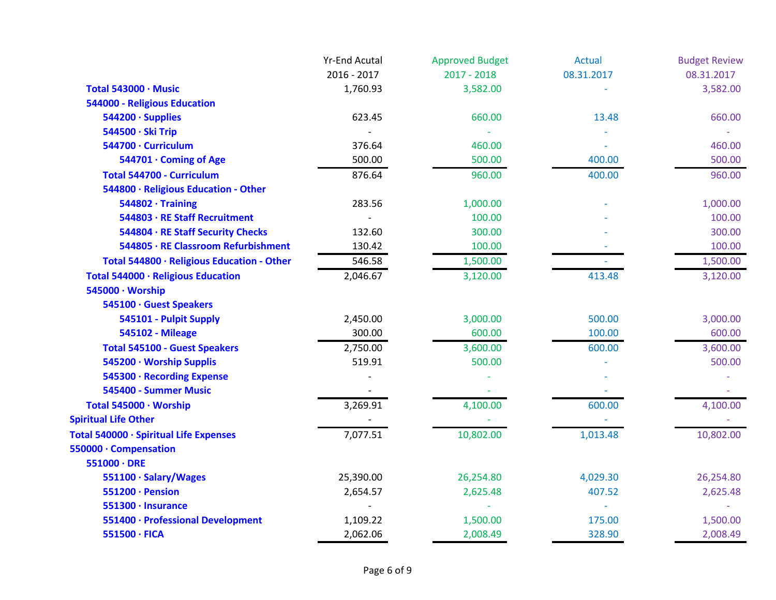|                                            | <b>Yr-End Acutal</b> | <b>Approved Budget</b> | <b>Actual</b> | <b>Budget Review</b> |
|--------------------------------------------|----------------------|------------------------|---------------|----------------------|
|                                            | 2016 - 2017          | $2017 - 2018$          | 08.31.2017    | 08.31.2017           |
| Total 543000 · Music                       | 1,760.93             | 3,582.00               |               | 3,582.00             |
| 544000 - Religious Education               |                      |                        |               |                      |
| 544200 · Supplies                          | 623.45               | 660.00                 | 13.48         | 660.00               |
| 544500 · Ski Trip                          |                      |                        |               |                      |
| 544700 · Curriculum                        | 376.64               | 460.00                 |               | 460.00               |
| 544701 · Coming of Age                     | 500.00               | 500.00                 | 400.00        | 500.00               |
| Total 544700 - Curriculum                  | 876.64               | 960.00                 | 400.00        | 960.00               |
| 544800 · Religious Education - Other       |                      |                        |               |                      |
| $544802 \cdot$ Training                    | 283.56               | 1,000.00               |               | 1,000.00             |
| 544803 · RE Staff Recruitment              |                      | 100.00                 |               | 100.00               |
| 544804 · RE Staff Security Checks          | 132.60               | 300.00                 |               | 300.00               |
| 544805 · RE Classroom Refurbishment        | 130.42               | 100.00                 |               | 100.00               |
| Total 544800 · Religious Education - Other | 546.58               | 1,500.00               |               | 1,500.00             |
| Total 544000 · Religious Education         | 2,046.67             | 3,120.00               | 413.48        | 3,120.00             |
| 545000 · Worship                           |                      |                        |               |                      |
| 545100 · Guest Speakers                    |                      |                        |               |                      |
| 545101 - Pulpit Supply                     | 2,450.00             | 3,000.00               | 500.00        | 3,000.00             |
| <b>545102 - Mileage</b>                    | 300.00               | 600.00                 | 100.00        | 600.00               |
| <b>Total 545100 - Guest Speakers</b>       | 2,750.00             | 3,600.00               | 600.00        | 3,600.00             |
| 545200 · Worship Supplis                   | 519.91               | 500.00                 |               | 500.00               |
| 545300 · Recording Expense                 |                      |                        |               |                      |
| 545400 - Summer Music                      |                      |                        |               |                      |
| Total 545000 · Worship                     | 3,269.91             | 4,100.00               | 600.00        | 4,100.00             |
| <b>Spiritual Life Other</b>                |                      |                        |               |                      |
| Total 540000 · Spiritual Life Expenses     | 7,077.51             | 10,802.00              | 1,013.48      | 10,802.00            |
| 550000 · Compensation                      |                      |                        |               |                      |
| $551000 \cdot DRE$                         |                      |                        |               |                      |
| 551100 · Salary/Wages                      | 25,390.00            | 26,254.80              | 4,029.30      | 26,254.80            |
| 551200 · Pension                           | 2,654.57             | 2,625.48               | 407.52        | 2,625.48             |
| 551300 · Insurance                         |                      |                        |               |                      |
| 551400 · Professional Development          | 1,109.22             | 1,500.00               | 175.00        | 1,500.00             |
| 551500 · FICA                              | 2,062.06             | 2,008.49               | 328.90        | 2,008.49             |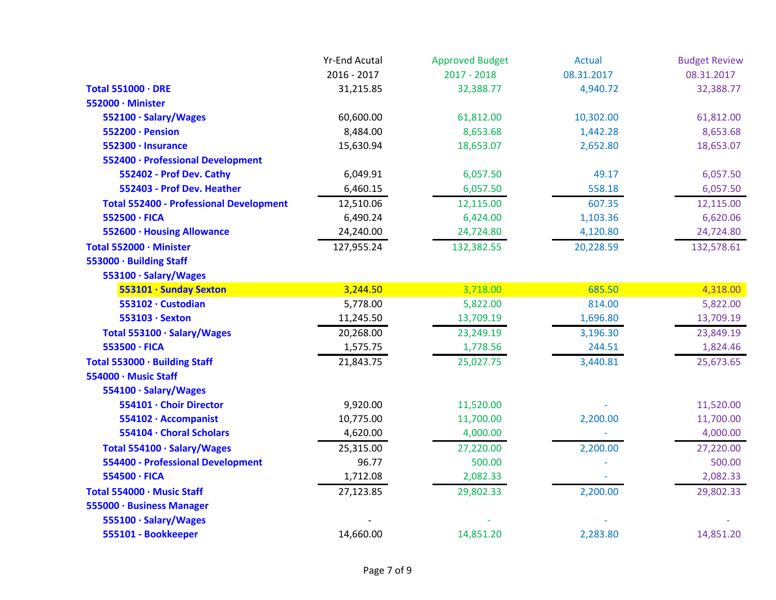|                                                | <b>Yr-End Acutal</b> | <b>Approved Budget</b> | <b>Actual</b> | <b>Budget Review</b> |
|------------------------------------------------|----------------------|------------------------|---------------|----------------------|
|                                                | 2016 - 2017          | $2017 - 2018$          | 08.31.2017    | 08.31.2017           |
| Total 551000 · DRE                             | 31,215.85            | 32,388.77              | 4,940.72      | 32,388.77            |
| 552000 · Minister                              |                      |                        |               |                      |
| 552100 · Salary/Wages                          | 60,600.00            | 61,812.00              | 10,302.00     | 61,812.00            |
| 552200 · Pension                               | 8,484.00             | 8,653.68               | 1,442.28      | 8,653.68             |
| 552300 · Insurance                             | 15,630.94            | 18,653.07              | 2,652.80      | 18,653.07            |
| 552400 · Professional Development              |                      |                        |               |                      |
| 552402 - Prof Dev. Cathy                       | 6,049.91             | 6,057.50               | 49.17         | 6,057.50             |
| 552403 - Prof Dev. Heather                     | 6,460.15             | 6,057.50               | 558.18        | 6,057.50             |
| <b>Total 552400 - Professional Development</b> | 12,510.06            | 12,115.00              | 607.35        | 12,115.00            |
| 552500 · FICA                                  | 6,490.24             | 6,424.00               | 1,103.36      | 6,620.06             |
| 552600 · Housing Allowance                     | 24,240.00            | 24,724.80              | 4,120.80      | 24,724.80            |
| Total 552000 · Minister                        | 127,955.24           | 132,382.55             | 20,228.59     | 132,578.61           |
| 553000 · Building Staff                        |                      |                        |               |                      |
| 553100 · Salary/Wages                          |                      |                        |               |                      |
| 553101 · Sunday Sexton                         | 3,244.50             | 3,718.00               | 685.50        | 4,318.00             |
| 553102 · Custodian                             | 5,778.00             | 5,822.00               | 814.00        | 5,822.00             |
| 553103 · Sexton                                | 11,245.50            | 13,709.19              | 1,696.80      | 13,709.19            |
| Total 553100 · Salary/Wages                    | 20,268.00            | 23,249.19              | 3,196.30      | 23,849.19            |
| 553500 · FICA                                  | 1,575.75             | 1,778.56               | 244.51        | 1,824.46             |
| Total 553000 · Building Staff                  | 21,843.75            | 25,027.75              | 3,440.81      | 25,673.65            |
| 554000 · Music Staff                           |                      |                        |               |                      |
| 554100 · Salary/Wages                          |                      |                        |               |                      |
| 554101 · Choir Director                        | 9,920.00             | 11,520.00              |               | 11,520.00            |
| 554102 · Accompanist                           | 10,775.00            | 11,700.00              | 2,200.00      | 11,700.00            |
| 554104 · Choral Scholars                       | 4,620.00             | 4,000.00               |               | 4,000.00             |
| Total 554100 · Salary/Wages                    | 25,315.00            | 27,220.00              | 2,200.00      | 27,220.00            |
| <b>554400 - Professional Development</b>       | 96.77                | 500.00                 |               | 500.00               |
| 554500 · FICA                                  | 1,712.08             | 2,082.33               |               | 2,082.33             |
| Total 554000 · Music Staff                     | 27,123.85            | 29,802.33              | 2,200.00      | 29,802.33            |
| 555000 · Business Manager                      |                      |                        |               |                      |
| 555100 · Salary/Wages                          |                      |                        |               |                      |
| 555101 - Bookkeeper                            | 14,660.00            | 14,851.20              | 2,283.80      | 14,851.20            |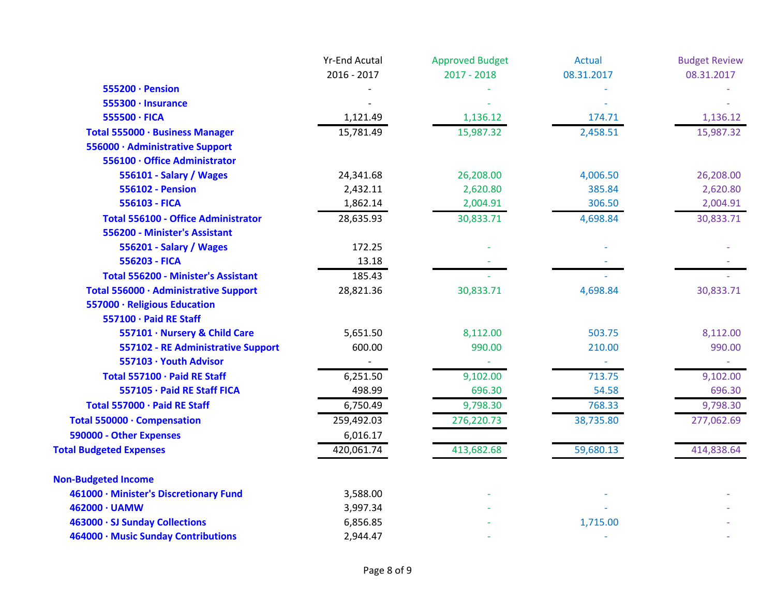|                                            | <b>Yr-End Acutal</b> | <b>Approved Budget</b> | <b>Actual</b> | <b>Budget Review</b> |
|--------------------------------------------|----------------------|------------------------|---------------|----------------------|
|                                            | 2016 - 2017          | $2017 - 2018$          | 08.31.2017    | 08.31.2017           |
| 555200 · Pension                           |                      |                        |               |                      |
| $555300 \cdot$ Insurance                   |                      |                        |               |                      |
| 555500 · FICA                              | 1,121.49             | 1,136.12               | 174.71        | 1,136.12             |
| Total 555000 · Business Manager            | 15,781.49            | 15,987.32              | 2,458.51      | 15,987.32            |
| 556000 · Administrative Support            |                      |                        |               |                      |
| 556100 · Office Administrator              |                      |                        |               |                      |
| 556101 - Salary / Wages                    | 24,341.68            | 26,208.00              | 4,006.50      | 26,208.00            |
| <b>556102 - Pension</b>                    | 2,432.11             | 2,620.80               | 385.84        | 2,620.80             |
| 556103 - FICA                              | 1,862.14             | 2,004.91               | 306.50        | 2,004.91             |
| <b>Total 556100 - Office Administrator</b> | 28,635.93            | 30,833.71              | 4,698.84      | 30,833.71            |
| 556200 - Minister's Assistant              |                      |                        |               |                      |
| 556201 - Salary / Wages                    | 172.25               |                        |               |                      |
| 556203 - FICA                              | 13.18                |                        |               |                      |
| <b>Total 556200 - Minister's Assistant</b> | 185.43               |                        |               |                      |
| Total 556000 · Administrative Support      | 28,821.36            | 30,833.71              | 4,698.84      | 30,833.71            |
| 557000 · Religious Education               |                      |                        |               |                      |
| 557100 · Paid RE Staff                     |                      |                        |               |                      |
| 557101 · Nursery & Child Care              | 5,651.50             | 8,112.00               | 503.75        | 8,112.00             |
| 557102 - RE Administrative Support         | 600.00               | 990.00                 | 210.00        | 990.00               |
| 557103 · Youth Advisor                     |                      |                        |               |                      |
| Total 557100 · Paid RE Staff               | 6,251.50             | 9,102.00               | 713.75        | 9,102.00             |
| 557105 · Paid RE Staff FICA                | 498.99               | 696.30                 | 54.58         | 696.30               |
| Total 557000 · Paid RE Staff               | 6,750.49             | 9,798.30               | 768.33        | 9,798.30             |
| Total 550000 · Compensation                | 259,492.03           | 276,220.73             | 38,735.80     | 277,062.69           |
| 590000 - Other Expenses                    | 6,016.17             |                        |               |                      |
| <b>Total Budgeted Expenses</b>             | 420,061.74           | 413,682.68             | 59,680.13     | 414,838.64           |
| <b>Non-Budgeted Income</b>                 |                      |                        |               |                      |
| 461000 · Minister's Discretionary Fund     | 3,588.00             |                        |               |                      |
| 462000 · UAMW                              | 3,997.34             |                        |               |                      |
| 463000 · SJ Sunday Collections             | 6,856.85             |                        | 1,715.00      |                      |
| 464000 · Music Sunday Contributions        | 2,944.47             |                        |               |                      |